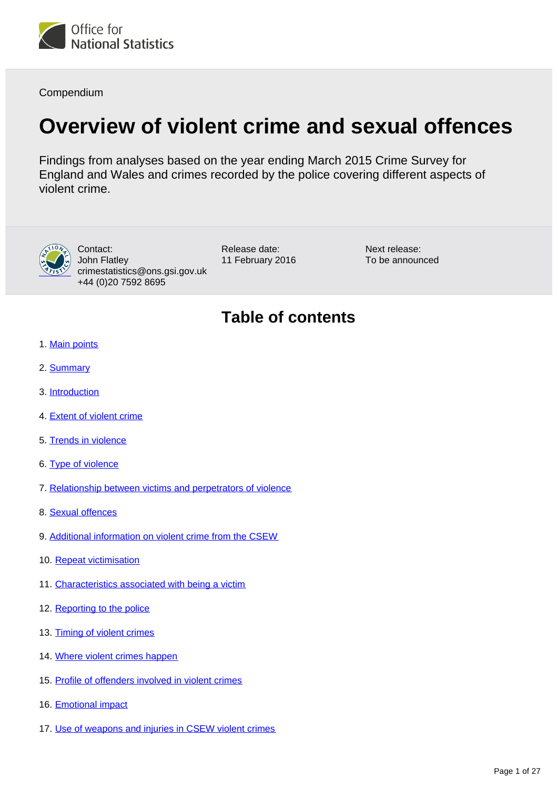

Compendium

# **Overview of violent crime and sexual offences**

Findings from analyses based on the year ending March 2015 Crime Survey for England and Wales and crimes recorded by the police covering different aspects of violent crime.



Contact: John Flatley crimestatistics@ons.gsi.gov.uk +44 (0)20 7592 8695

Release date: 11 February 2016 Next release: To be announced

# **Table of contents**

- 1. [Main points](#page-2-0)
- 2. [Summary](#page-2-1)
- 3. [Introduction](#page-2-2)
- 4. [Extent of violent crime](#page-4-0)
- 5. [Trends in violence](#page-7-0)
- 6. [Type of violence](#page-9-0)
- 7. [Relationship between victims and perpetrators of violence](#page-11-0)
- 8. [Sexual offences](#page-12-0)
- 9. [Additional information on violent crime from the CSEW](#page-14-0)
- 10. [Repeat victimisation](#page-15-0)
- 11. [Characteristics associated with being a victim](#page-16-0)
- 12. [Reporting to the police](#page-18-0)
- 13. [Timing of violent crimes](#page-19-0)
- 14. [Where violent crimes happen](#page-20-0)
- 15. [Profile of offenders involved in violent crimes](#page-21-0)
- 16. [Emotional impact](#page-22-0)
- 17. [Use of weapons and injuries in CSEW violent crimes](#page-25-0)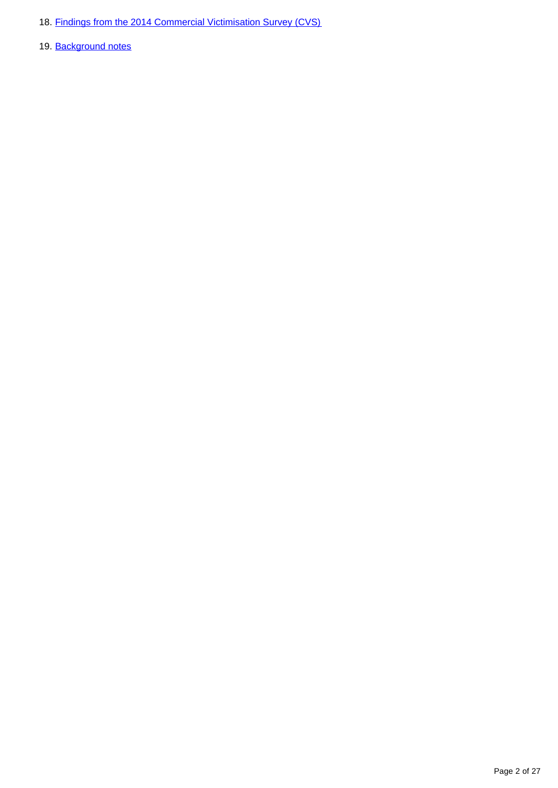- 18. [Findings from the 2014 Commercial Victimisation Survey \(CVS\)](#page-25-1)
- 19. Background notes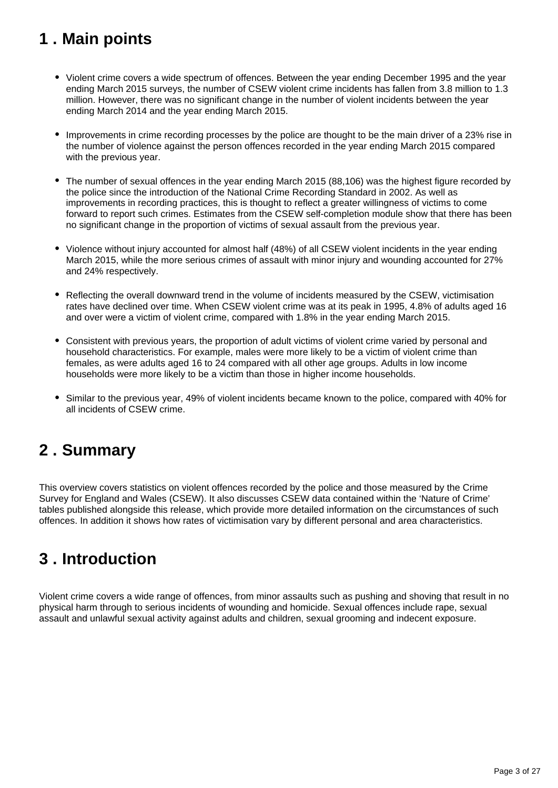# <span id="page-2-0"></span>**1 . Main points**

- Violent crime covers a wide spectrum of offences. Between the year ending December 1995 and the year ending March 2015 surveys, the number of CSEW violent crime incidents has fallen from 3.8 million to 1.3 million. However, there was no significant change in the number of violent incidents between the year ending March 2014 and the year ending March 2015.
- Improvements in crime recording processes by the police are thought to be the main driver of a 23% rise in the number of violence against the person offences recorded in the year ending March 2015 compared with the previous year.
- The number of sexual offences in the year ending March 2015 (88,106) was the highest figure recorded by the police since the introduction of the National Crime Recording Standard in 2002. As well as improvements in recording practices, this is thought to reflect a greater willingness of victims to come forward to report such crimes. Estimates from the CSEW self-completion module show that there has been no significant change in the proportion of victims of sexual assault from the previous year.
- Violence without injury accounted for almost half (48%) of all CSEW violent incidents in the year ending March 2015, while the more serious crimes of assault with minor injury and wounding accounted for 27% and 24% respectively.
- Reflecting the overall downward trend in the volume of incidents measured by the CSEW, victimisation rates have declined over time. When CSEW violent crime was at its peak in 1995, 4.8% of adults aged 16 and over were a victim of violent crime, compared with 1.8% in the year ending March 2015.
- Consistent with previous years, the proportion of adult victims of violent crime varied by personal and household characteristics. For example, males were more likely to be a victim of violent crime than females, as were adults aged 16 to 24 compared with all other age groups. Adults in low income households were more likely to be a victim than those in higher income households.
- Similar to the previous year, 49% of violent incidents became known to the police, compared with 40% for all incidents of CSEW crime.

## <span id="page-2-1"></span>**2 . Summary**

This overview covers statistics on violent offences recorded by the police and those measured by the Crime Survey for England and Wales (CSEW). It also discusses CSEW data contained within the 'Nature of Crime' tables published alongside this release, which provide more detailed information on the circumstances of such offences. In addition it shows how rates of victimisation vary by different personal and area characteristics.

## <span id="page-2-2"></span>**3 . Introduction**

Violent crime covers a wide range of offences, from minor assaults such as pushing and shoving that result in no physical harm through to serious incidents of wounding and homicide. Sexual offences include rape, sexual assault and unlawful sexual activity against adults and children, sexual grooming and indecent exposure.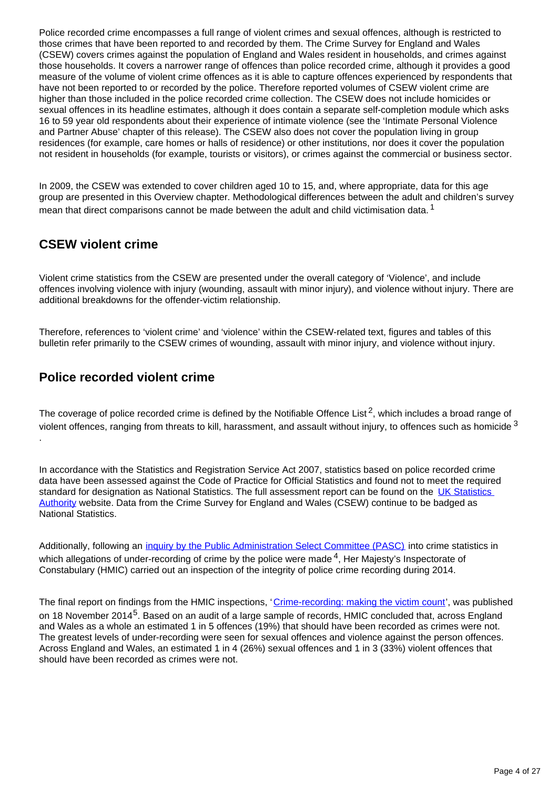Police recorded crime encompasses a full range of violent crimes and sexual offences, although is restricted to those crimes that have been reported to and recorded by them. The Crime Survey for England and Wales (CSEW) covers crimes against the population of England and Wales resident in households, and crimes against those households. It covers a narrower range of offences than police recorded crime, although it provides a good measure of the volume of violent crime offences as it is able to capture offences experienced by respondents that have not been reported to or recorded by the police. Therefore reported volumes of CSEW violent crime are higher than those included in the police recorded crime collection. The CSEW does not include homicides or sexual offences in its headline estimates, although it does contain a separate self-completion module which asks 16 to 59 year old respondents about their experience of intimate violence (see the 'Intimate Personal Violence and Partner Abuse' chapter of this release). The CSEW also does not cover the population living in group residences (for example, care homes or halls of residence) or other institutions, nor does it cover the population not resident in households (for example, tourists or visitors), or crimes against the commercial or business sector.

In 2009, the CSEW was extended to cover children aged 10 to 15, and, where appropriate, data for this age group are presented in this Overview chapter. Methodological differences between the adult and children's survey mean that direct comparisons cannot be made between the adult and child victimisation data.<sup>1</sup>

## **CSEW violent crime**

Violent crime statistics from the CSEW are presented under the overall category of 'Violence', and include offences involving violence with injury (wounding, assault with minor injury), and violence without injury. There are additional breakdowns for the offender-victim relationship.

Therefore, references to 'violent crime' and 'violence' within the CSEW-related text, figures and tables of this bulletin refer primarily to the CSEW crimes of wounding, assault with minor injury, and violence without injury.

## **Police recorded violent crime**

The coverage of police recorded crime is defined by the Notifiable Offence List<sup>2</sup>, which includes a broad range of violent offences, ranging from threats to kill, harassment, and assault without injury, to offences such as homicide  $3$ .

In accordance with the Statistics and Registration Service Act 2007, statistics based on police recorded crime data have been assessed against the Code of Practice for Official Statistics and found not to meet the required standard for designation as National Statistics. The full assessment report can be found on the UK Statistics [Authority](https://www.statisticsauthority.gov.uk/wp-content/uploads/2015/12/images-assessmentreport268statisticsoncrimeinenglandandwale_tcm97-43508-1.pdf) website. Data from the Crime Survey for England and Wales (CSEW) continue to be badged as National Statistics.

Additionally, following an *inquiry by the Public Administration Select Committee (PASC)* into crime statistics in which allegations of under-recording of crime by the police were made  $4$ . Her Majesty's Inspectorate of Constabulary (HMIC) carried out an inspection of the integrity of police crime recording during 2014.

The final report on findings from the HMIC inspections, '[Crime-recording: making the victim count'](https://www.justiceinspectorates.gov.uk/hmic/publication/crime-recording-making-the-victim-count/), was published on 18 November 2014<sup>5</sup>. Based on an audit of a large sample of records, HMIC concluded that, across England and Wales as a whole an estimated 1 in 5 offences (19%) that should have been recorded as crimes were not. The greatest levels of under-recording were seen for sexual offences and violence against the person offences. Across England and Wales, an estimated 1 in 4 (26%) sexual offences and 1 in 3 (33%) violent offences that should have been recorded as crimes were not.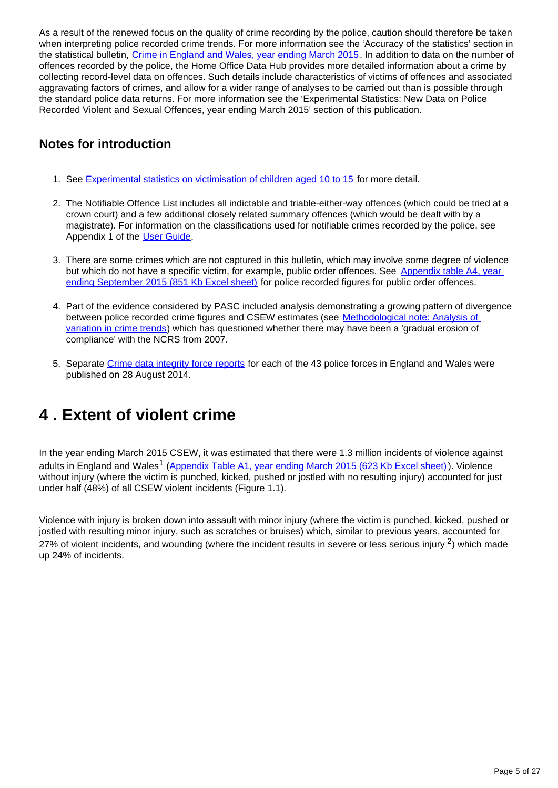As a result of the renewed focus on the quality of crime recording by the police, caution should therefore be taken when interpreting police recorded crime trends. For more information see the 'Accuracy of the statistics' section in the statistical bulletin, [Crime in England and Wales, year ending March 2015](http://www.ons.gov.uk/peoplepopulationandcommunity/crimeandjustice/bulletins/crimeinenglandandwales/2015-07-16#accuracy-of-the-statistics). In addition to data on the number of offences recorded by the police, the Home Office Data Hub provides more detailed information about a crime by collecting record-level data on offences. Such details include characteristics of victims of offences and associated aggravating factors of crimes, and allow for a wider range of analyses to be carried out than is possible through the standard police data returns. For more information see the 'Experimental Statistics: New Data on Police Recorded Violent and Sexual Offences, year ending March 2015' section of this publication.

## **Notes for introduction**

- 1. See [Experimental statistics on victimisation of children aged 10 to 15](https://www.gov.uk/government/statistics/experimental-statistics-on-victimisation-of-children-aged-10-to-15-british-crime-survey-year-ending-december-2009) for more detail.
- 2. The Notifiable Offence List includes all indictable and triable-either-way offences (which could be tried at a crown court) and a few additional closely related summary offences (which would be dealt with by a magistrate). For information on the classifications used for notifiable crimes recorded by the police, see Appendix 1 of the [User Guide.](http://www.ons.gov.uk/ons/guide-method/method-quality/specific/crime-statistics-methodology/user-guides/index.html)
- 3. There are some crimes which are not captured in this bulletin, which may involve some degree of violence but which do not have a specific victim, for example, public order offences. See Appendix table A4, year [ending September 2015 \(851 Kb Excel sheet\)](http://www.ons.gov.uk/file?uri=/peoplepopulationandcommunity/crimeandjustice/compendium/focusonviolentcrimeandsexualoffences/yearendingmarch2015/bulletintablesfocusonviolentcrimeandsexualoffencesyearendingmarch2015/02appendixtablesviolentcrimeandsexualoffences201415tcm77432777.xls) for police recorded figures for public order offences.
- 4. Part of the evidence considered by PASC included analysis demonstrating a growing pattern of divergence between police recorded crime figures and CSEW estimates (see [Methodological note: Analysis of](http://www.ons.gov.uk/ons/guide-method/method-quality/specific/crime-statistics-methodology/methodological-notes/index.html)  [variation in crime trends](http://www.ons.gov.uk/ons/guide-method/method-quality/specific/crime-statistics-methodology/methodological-notes/index.html)) which has questioned whether there may have been a 'gradual erosion of compliance' with the NCRS from 2007.
- 5. Separate [Crime data integrity force reports](https://www.justiceinspectorates.gov.uk/hmic/publication/crime-data-integrity-force-reports/) for each of the 43 police forces in England and Wales were published on 28 August 2014.

## <span id="page-4-0"></span>**4 . Extent of violent crime**

In the year ending March 2015 CSEW, it was estimated that there were 1.3 million incidents of violence against adults in England and Wales<sup>1</sup> ([Appendix Table A1, year ending March 2015 \(623 Kb Excel sheet\)](http://www.ons.gov.uk/ons/rel/crime-stats/crime-statistics/year-ending-march-2015/rft-02.xls)). Violence without injury (where the victim is punched, kicked, pushed or jostled with no resulting injury) accounted for just under half (48%) of all CSEW violent incidents (Figure 1.1).

Violence with injury is broken down into assault with minor injury (where the victim is punched, kicked, pushed or jostled with resulting minor injury, such as scratches or bruises) which, similar to previous years, accounted for 27% of violent incidents, and wounding (where the incident results in severe or less serious injury  $2$ ) which made up 24% of incidents.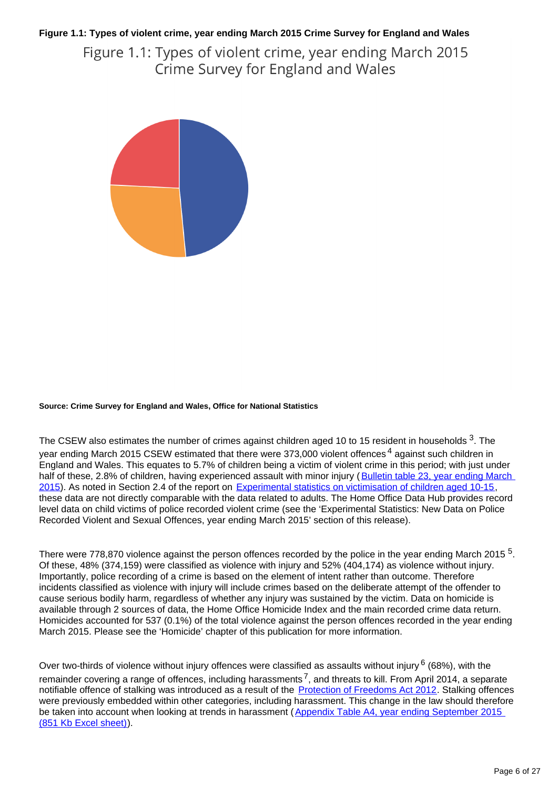### **Figure 1.1: Types of violent crime, year ending March 2015 Crime Survey for England and Wales**

Figure 1.1: Types of violent crime, year ending March 2015 Crime Survey for England and Wales



#### **Source: Crime Survey for England and Wales, Office for National Statistics**

The CSEW also estimates the number of crimes against children aged 10 to 15 resident in households  $3$ . The year ending March 2015 CSEW estimated that there were 373,000 violent offences<sup>4</sup> against such children in England and Wales. This equates to 5.7% of children being a victim of violent crime in this period; with just under half of these, 2.8% of children, having experienced assault with minor injury (Bulletin table 23, year ending March [2015](http://www.ons.gov.uk/ons/publications/re-reference-tables.html?edition=tcm%3A77-373428)). As noted in Section 2.4 of the report on [Experimental statistics on victimisation of children aged 10-15](https://www.gov.uk/government/statistics/experimental-statistics-on-victimisation-of-children-aged-10-to-15-british-crime-survey-year-ending-december-2009), these data are not directly comparable with the data related to adults. The Home Office Data Hub provides record level data on child victims of police recorded violent crime (see the 'Experimental Statistics: New Data on Police Recorded Violent and Sexual Offences, year ending March 2015' section of this release).

There were 778,870 violence against the person offences recorded by the police in the year ending March 2015  $5$ . Of these, 48% (374,159) were classified as violence with injury and 52% (404,174) as violence without injury. Importantly, police recording of a crime is based on the element of intent rather than outcome. Therefore incidents classified as violence with injury will include crimes based on the deliberate attempt of the offender to cause serious bodily harm, regardless of whether any injury was sustained by the victim. Data on homicide is available through 2 sources of data, the Home Office Homicide Index and the main recorded crime data return. Homicides accounted for 537 (0.1%) of the total violence against the person offences recorded in the year ending March 2015. Please see the 'Homicide' chapter of this publication for more information.

Over two-thirds of violence without injury offences were classified as assaults without injury  $6$  (68%), with the remainder covering a range of offences, including harassments<sup>7</sup>, and threats to kill. From April 2014, a separate notifiable offence of stalking was introduced as a result of the [Protection of Freedoms Act 2012](https://www.gov.uk/government/publications/protection-of-freedoms-bill). Stalking offences were previously embedded within other categories, including harassment. This change in the law should therefore be taken into account when looking at trends in harassment (Appendix Table A4, year ending September 2015 [\(851 Kb Excel sheet\)\)](http://www.ons.gov.uk/file?uri=/peoplepopulationandcommunity/crimeandjustice/compendium/focusonviolentcrimeandsexualoffences/yearendingmarch2015/bulletintablesfocusonviolentcrimeandsexualoffencesyearendingmarch2015/02appendixtablesviolentcrimeandsexualoffences201415tcm77432777.xls).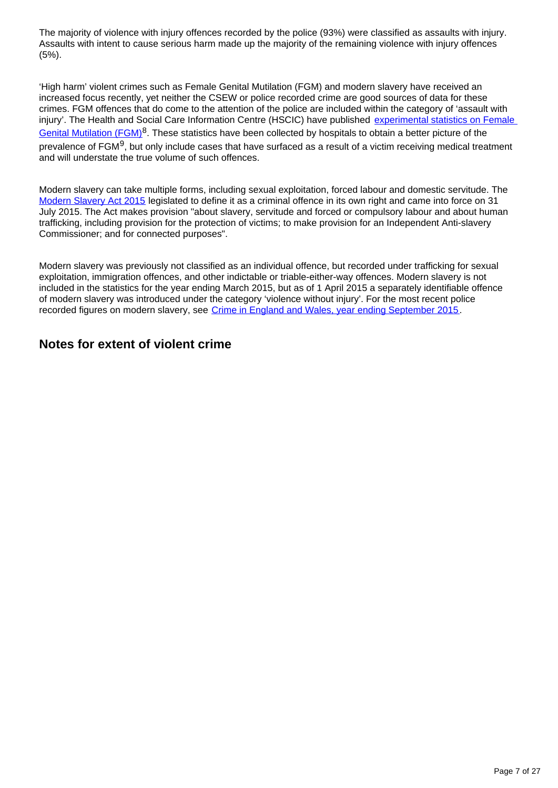The majority of violence with injury offences recorded by the police (93%) were classified as assaults with injury. Assaults with intent to cause serious harm made up the majority of the remaining violence with injury offences (5%).

'High harm' violent crimes such as Female Genital Mutilation (FGM) and modern slavery have received an increased focus recently, yet neither the CSEW or police recorded crime are good sources of data for these crimes. FGM offences that do come to the attention of the police are included within the category of 'assault with injury'. The Health and Social Care Information Centre (HSCIC) have published experimental statistics on Female [Genital Mutilation \(FGM\)](http://www.hscic.gov.uk/catalogue/PUB18533/fgm-apr-2015-jun-2015-exp-rep.pdf)<sup>8</sup>. These statistics have been collected by hospitals to obtain a better picture of the prevalence of FGM<sup>9</sup>, but only include cases that have surfaced as a result of a victim receiving medical treatment and will understate the true volume of such offences.

Modern slavery can take multiple forms, including sexual exploitation, forced labour and domestic servitude. The [Modern Slavery Act 2015](http://www.legislation.gov.uk/ukpga/2015/30/pdfs/ukpga_20150030_en.pdf) legislated to define it as a criminal offence in its own right and came into force on 31 July 2015. The Act makes provision "about slavery, servitude and forced or compulsory labour and about human trafficking, including provision for the protection of victims; to make provision for an Independent Anti-slavery Commissioner; and for connected purposes".

Modern slavery was previously not classified as an individual offence, but recorded under trafficking for sexual exploitation, immigration offences, and other indictable or triable-either-way offences. Modern slavery is not included in the statistics for the year ending March 2015, but as of 1 April 2015 a separately identifiable offence of modern slavery was introduced under the category 'violence without injury'. For the most recent police recorded figures on modern slavery, see [Crime in England and Wales, year ending September 2015](http://www.ons.gov.uk/peoplepopulationandcommunity/crimeandjustice/bulletins/crimeinenglandandwales/yearendingseptember2015).

### **Notes for extent of violent crime**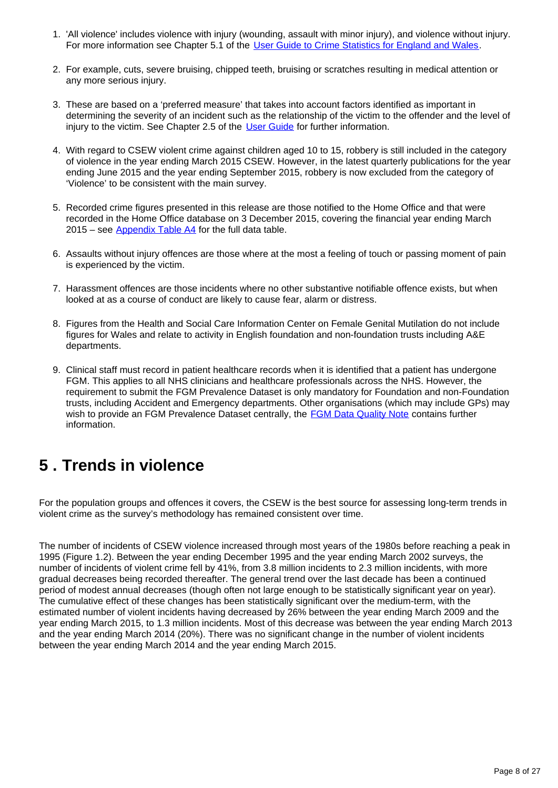- 1. 'All violence' includes violence with injury (wounding, assault with minor injury), and violence without injury. For more information see Chapter 5.1 of the [User Guide to Crime Statistics for England and Wales](http://www.ons.gov.uk/ons/guide-method/method-quality/specific/crime-statistics-methodology/user-guides/index.html).
- 2. For example, cuts, severe bruising, chipped teeth, bruising or scratches resulting in medical attention or any more serious injury.
- 3. These are based on a 'preferred measure' that takes into account factors identified as important in determining the severity of an incident such as the relationship of the victim to the offender and the level of injury to the victim. See Chapter 2.5 of the [User Guide](http://www.ons.gov.uk/ons/guide-method/method-quality/specific/crime-statistics-methodology/user-guides/index.html) for further information.
- 4. With regard to CSEW violent crime against children aged 10 to 15, robbery is still included in the category of violence in the year ending March 2015 CSEW. However, in the latest quarterly publications for the year ending June 2015 and the year ending September 2015, robbery is now excluded from the category of 'Violence' to be consistent with the main survey.
- 5. Recorded crime figures presented in this release are those notified to the Home Office and that were recorded in the Home Office database on 3 December 2015, covering the financial year ending March  $2015$  – see [Appendix Table A4](https://www.ons.gov.uk/peoplepopulationandcommunity/crimeandjustice/datasets/appendixtablesfocusonviolentcrimeandsexualoffences) for the full data table.
- 6. Assaults without injury offences are those where at the most a feeling of touch or passing moment of pain is experienced by the victim.
- 7. Harassment offences are those incidents where no other substantive notifiable offence exists, but when looked at as a course of conduct are likely to cause fear, alarm or distress.
- 8. Figures from the Health and Social Care Information Center on Female Genital Mutilation do not include figures for Wales and relate to activity in English foundation and non-foundation trusts including A&E departments.
- 9. Clinical staff must record in patient healthcare records when it is identified that a patient has undergone FGM. This applies to all NHS clinicians and healthcare professionals across the NHS. However, the requirement to submit the FGM Prevalence Dataset is only mandatory for Foundation and non-Foundation trusts, including Accident and Emergency departments. Other organisations (which may include GPs) may wish to provide an FGM Prevalence Dataset centrally, the [FGM Data Quality Note](http://www.hscic.gov.uk/catalogue/PUB16773/fgm-dec-2014-exp-qual.pdf) contains further information.

# <span id="page-7-0"></span>**5 . Trends in violence**

For the population groups and offences it covers, the CSEW is the best source for assessing long-term trends in violent crime as the survey's methodology has remained consistent over time.

The number of incidents of CSEW violence increased through most years of the 1980s before reaching a peak in 1995 (Figure 1.2). Between the year ending December 1995 and the year ending March 2002 surveys, the number of incidents of violent crime fell by 41%, from 3.8 million incidents to 2.3 million incidents, with more gradual decreases being recorded thereafter. The general trend over the last decade has been a continued period of modest annual decreases (though often not large enough to be statistically significant year on year). The cumulative effect of these changes has been statistically significant over the medium-term, with the estimated number of violent incidents having decreased by 26% between the year ending March 2009 and the year ending March 2015, to 1.3 million incidents. Most of this decrease was between the year ending March 2013 and the year ending March 2014 (20%). There was no significant change in the number of violent incidents between the year ending March 2014 and the year ending March 2015.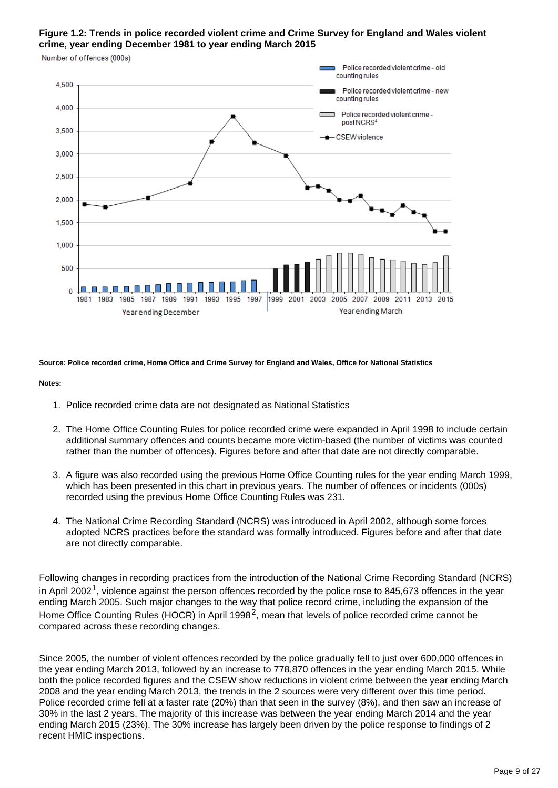### **Figure 1.2: Trends in police recorded violent crime and Crime Survey for England and Wales violent crime, year ending December 1981 to year ending March 2015**

Police recorded violent crime - old counting rules 4.500 Police recorded violent crime - new counting rules 4,000 Police recorded violent crime postNCRS<sup>4</sup> 3.500 **CSEW** violence 3,000 2.500 2.000 1,500 1.000 500 1981 1983 1985 1987 1989 1991 1993 1995 1997 1999 2001 2003 2005 2007 2009 2011 2013 2015 Year ending March Year ending December

**Source: Police recorded crime, Home Office and Crime Survey for England and Wales, Office for National Statistics**

#### **Notes:**

Number of offences (000s)

- 1. Police recorded crime data are not designated as National Statistics
- 2. The Home Office Counting Rules for police recorded crime were expanded in April 1998 to include certain additional summary offences and counts became more victim-based (the number of victims was counted rather than the number of offences). Figures before and after that date are not directly comparable.
- 3. A figure was also recorded using the previous Home Office Counting rules for the year ending March 1999, which has been presented in this chart in previous years. The number of offences or incidents (000s) recorded using the previous Home Office Counting Rules was 231.
- 4. The National Crime Recording Standard (NCRS) was introduced in April 2002, although some forces adopted NCRS practices before the standard was formally introduced. Figures before and after that date are not directly comparable.

Following changes in recording practices from the introduction of the National Crime Recording Standard (NCRS) in April 2002<sup>1</sup>, violence against the person offences recorded by the police rose to 845,673 offences in the year ending March 2005. Such major changes to the way that police record crime, including the expansion of the Home Office Counting Rules (HOCR) in April 1998<sup>2</sup>, mean that levels of police recorded crime cannot be compared across these recording changes.

Since 2005, the number of violent offences recorded by the police gradually fell to just over 600,000 offences in the year ending March 2013, followed by an increase to 778,870 offences in the year ending March 2015. While both the police recorded figures and the CSEW show reductions in violent crime between the year ending March 2008 and the year ending March 2013, the trends in the 2 sources were very different over this time period. Police recorded crime fell at a faster rate (20%) than that seen in the survey (8%), and then saw an increase of 30% in the last 2 years. The majority of this increase was between the year ending March 2014 and the year ending March 2015 (23%). The 30% increase has largely been driven by the police response to findings of 2 recent HMIC inspections.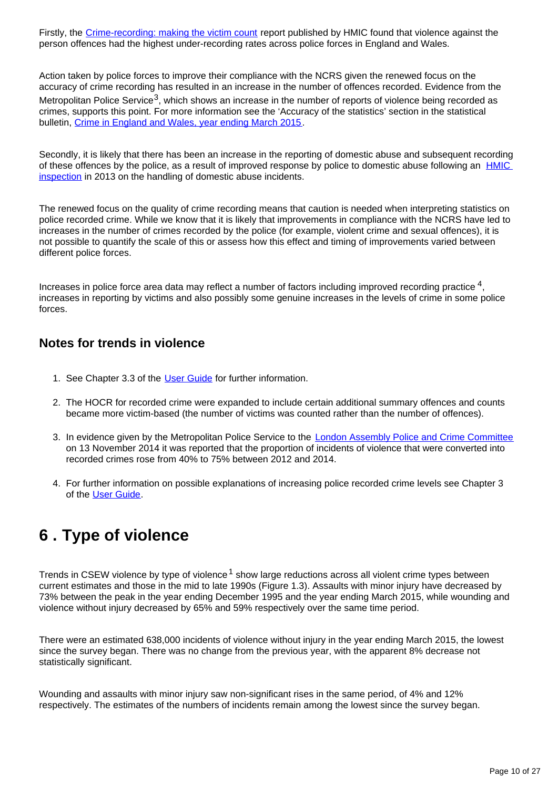Firstly, the [Crime-recording: making the victim count](https://www.justiceinspectorates.gov.uk/hmic/publication/crime-recording-making-the-victim-count/) report published by HMIC found that violence against the person offences had the highest under-recording rates across police forces in England and Wales.

Action taken by police forces to improve their compliance with the NCRS given the renewed focus on the accuracy of crime recording has resulted in an increase in the number of offences recorded. Evidence from the Metropolitan Police Service<sup>3</sup>, which shows an increase in the number of reports of violence being recorded as crimes, supports this point. For more information see the 'Accuracy of the statistics' section in the statistical bulletin, [Crime in England and Wales, year ending March 2015.](http://www.ons.gov.uk/peoplepopulationandcommunity/crimeandjustice/bulletins/crimeinenglandandwales/2015-07-16#accuracy-of-the-statistics)

Secondly, it is likely that there has been an increase in the reporting of domestic abuse and subsequent recording of these offences by the police, as a result of improved response by police to domestic abuse following an [HMIC](http://www.hmic.gov.uk/publication/improving-the-police-response-to-domestic-abuse/)  [inspection](http://www.hmic.gov.uk/publication/improving-the-police-response-to-domestic-abuse/) in 2013 on the handling of domestic abuse incidents.

The renewed focus on the quality of crime recording means that caution is needed when interpreting statistics on police recorded crime. While we know that it is likely that improvements in compliance with the NCRS have led to increases in the number of crimes recorded by the police (for example, violent crime and sexual offences), it is not possible to quantify the scale of this or assess how this effect and timing of improvements varied between different police forces.

Increases in police force area data may reflect a number of factors including improved recording practice  $4$ , increases in reporting by victims and also possibly some genuine increases in the levels of crime in some police forces.

### **Notes for trends in violence**

- 1. See Chapter 3.3 of the [User Guide](http://www.ons.gov.uk/ons/guide-method/method-quality/specific/crime-statistics-methodology/user-guides/index.html) for further information.
- 2. The HOCR for recorded crime were expanded to include certain additional summary offences and counts became more victim-based (the number of victims was counted rather than the number of offences).
- 3. In evidence given by the Metropolitan Police Service to the [London Assembly Police and Crime Committee](http://www.london.gov.uk/moderngov/ieListDocuments.aspx?CId=240&MId=5445) on 13 November 2014 it was reported that the proportion of incidents of violence that were converted into recorded crimes rose from 40% to 75% between 2012 and 2014.
- 4. For further information on possible explanations of increasing police recorded crime levels see Chapter 3 of the [User Guide](http://www.ons.gov.uk/ons/guide-method/method-quality/specific/crime-statistics-methodology/user-guides/index.html).

# <span id="page-9-0"></span>**6 . Type of violence**

Trends in CSEW violence by type of violence<sup>1</sup> show large reductions across all violent crime types between current estimates and those in the mid to late 1990s (Figure 1.3). Assaults with minor injury have decreased by 73% between the peak in the year ending December 1995 and the year ending March 2015, while wounding and violence without injury decreased by 65% and 59% respectively over the same time period.

There were an estimated 638,000 incidents of violence without injury in the year ending March 2015, the lowest since the survey began. There was no change from the previous year, with the apparent 8% decrease not statistically significant.

Wounding and assaults with minor injury saw non-significant rises in the same period, of 4% and 12% respectively. The estimates of the numbers of incidents remain among the lowest since the survey began.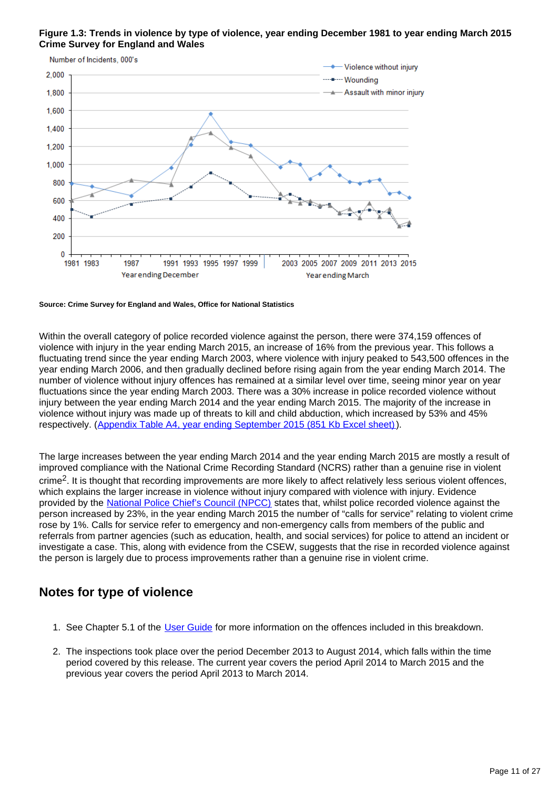



#### **Source: Crime Survey for England and Wales, Office for National Statistics**

Within the overall category of police recorded violence against the person, there were 374,159 offences of violence with injury in the year ending March 2015, an increase of 16% from the previous year. This follows a fluctuating trend since the year ending March 2003, where violence with injury peaked to 543,500 offences in the year ending March 2006, and then gradually declined before rising again from the year ending March 2014. The number of violence without injury offences has remained at a similar level over time, seeing minor year on year fluctuations since the year ending March 2003. There was a 30% increase in police recorded violence without injury between the year ending March 2014 and the year ending March 2015. The majority of the increase in violence without injury was made up of threats to kill and child abduction, which increased by 53% and 45% respectively. ([Appendix Table A4, year ending September 2015 \(851 Kb Excel sheet\)\)](http://www.ons.gov.uk/peoplepopulationandcommunity/crimeandjustice/datasets/crimeinenglandandwalesappendixtables).

The large increases between the year ending March 2014 and the year ending March 2015 are mostly a result of improved compliance with the National Crime Recording Standard (NCRS) rather than a genuine rise in violent crime<sup>2</sup>. It is thought that recording improvements are more likely to affect relatively less serious violent offences, which explains the larger increase in violence without injury compared with violence with injury. Evidence provided by the [National Police Chief's Council \(NPCC\)](http://news.npcc.police.uk/releases/stats-show-crime-falling-police-recording-becoming-more-accurate) states that, whilst police recorded violence against the person increased by 23%, in the year ending March 2015 the number of "calls for service" relating to violent crime rose by 1%. Calls for service refer to emergency and non-emergency calls from members of the public and referrals from partner agencies (such as education, health, and social services) for police to attend an incident or investigate a case. This, along with evidence from the CSEW, suggests that the rise in recorded violence against the person is largely due to process improvements rather than a genuine rise in violent crime.

### **Notes for type of violence**

- 1. See Chapter 5.1 of the [User Guide](http://www.ons.gov.uk/ons/guide-method/method-quality/specific/crime-statistics-methodology/user-guides/index.html) for more information on the offences included in this breakdown.
- 2. The inspections took place over the period December 2013 to August 2014, which falls within the time period covered by this release. The current year covers the period April 2014 to March 2015 and the previous year covers the period April 2013 to March 2014.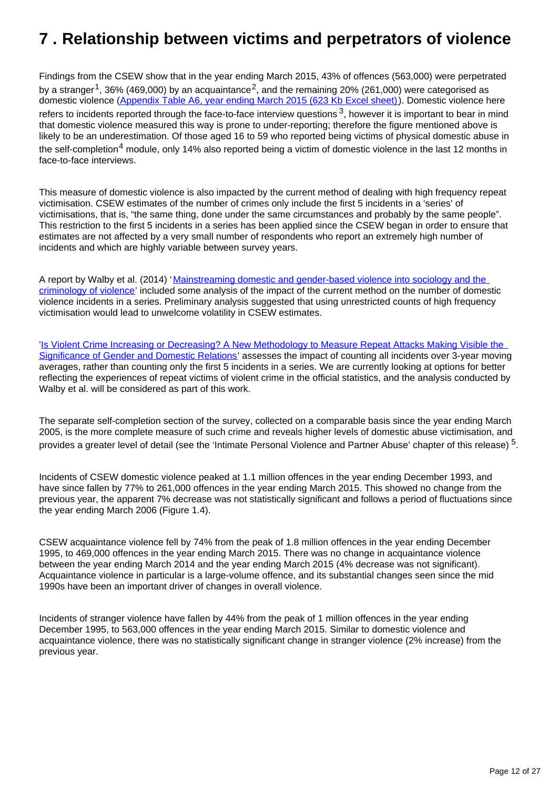# <span id="page-11-0"></span>**7 . Relationship between victims and perpetrators of violence**

Findings from the CSEW show that in the year ending March 2015, 43% of offences (563,000) were perpetrated by a stranger<sup>1</sup>, 36% (469,000) by an acquaintance<sup>2</sup>, and the remaining 20% (261,000) were categorised as domestic violence [\(Appendix Table A6, year ending March 2015 \(623 Kb Excel sheet\)](http://www.ons.gov.uk/ons/rel/crime-stats/crime-statistics/year-ending-march-2015/rft-02.xls)). Domestic violence here refers to incidents reported through the face-to-face interview questions  $3$ , however it is important to bear in mind that domestic violence measured this way is prone to under-reporting; therefore the figure mentioned above is likely to be an underestimation. Of those aged 16 to 59 who reported being victims of physical domestic abuse in the self-completion<sup>4</sup> module, only 14% also reported being a victim of domestic violence in the last 12 months in face-to-face interviews.

This measure of domestic violence is also impacted by the current method of dealing with high frequency repeat victimisation. CSEW estimates of the number of crimes only include the first 5 incidents in a 'series' of victimisations, that is, "the same thing, done under the same circumstances and probably by the same people". This restriction to the first 5 incidents in a series has been applied since the CSEW began in order to ensure that estimates are not affected by a very small number of respondents who report an extremely high number of incidents and which are highly variable between survey years.

A report by Walby et al. (2014) 'Mainstreaming domestic and gender-based violence into sociology and the [criminology of violence](http://onlinelibrary.wiley.com/doi/10.1111/1467-954X.12198/full)' included some analysis of the impact of the current method on the number of domestic violence incidents in a series. Preliminary analysis suggested that using unrestricted counts of high frequency victimisation would lead to unwelcome volatility in CSEW estimates.

'[Is Violent Crime Increasing or Decreasing? A New Methodology to Measure Repeat Attacks Making Visible the](http://eprints.lancs.ac.uk/77652/1/BJC_Walby_Towers_and_Francis.pdf)  [Significance of Gender and Domestic Relations](http://eprints.lancs.ac.uk/77652/1/BJC_Walby_Towers_and_Francis.pdf)' assesses the impact of counting all incidents over 3-year moving averages, rather than counting only the first 5 incidents in a series. We are currently looking at options for better reflecting the experiences of repeat victims of violent crime in the official statistics, and the analysis conducted by Walby et al. will be considered as part of this work.

The separate self-completion section of the survey, collected on a comparable basis since the year ending March 2005, is the more complete measure of such crime and reveals higher levels of domestic abuse victimisation, and provides a greater level of detail (see the 'Intimate Personal Violence and Partner Abuse' chapter of this release)  $^5$ .

Incidents of CSEW domestic violence peaked at 1.1 million offences in the year ending December 1993, and have since fallen by 77% to 261,000 offences in the year ending March 2015. This showed no change from the previous year, the apparent 7% decrease was not statistically significant and follows a period of fluctuations since the year ending March 2006 (Figure 1.4).

CSEW acquaintance violence fell by 74% from the peak of 1.8 million offences in the year ending December 1995, to 469,000 offences in the year ending March 2015. There was no change in acquaintance violence between the year ending March 2014 and the year ending March 2015 (4% decrease was not significant). Acquaintance violence in particular is a large-volume offence, and its substantial changes seen since the mid 1990s have been an important driver of changes in overall violence.

Incidents of stranger violence have fallen by 44% from the peak of 1 million offences in the year ending December 1995, to 563,000 offences in the year ending March 2015. Similar to domestic violence and acquaintance violence, there was no statistically significant change in stranger violence (2% increase) from the previous year.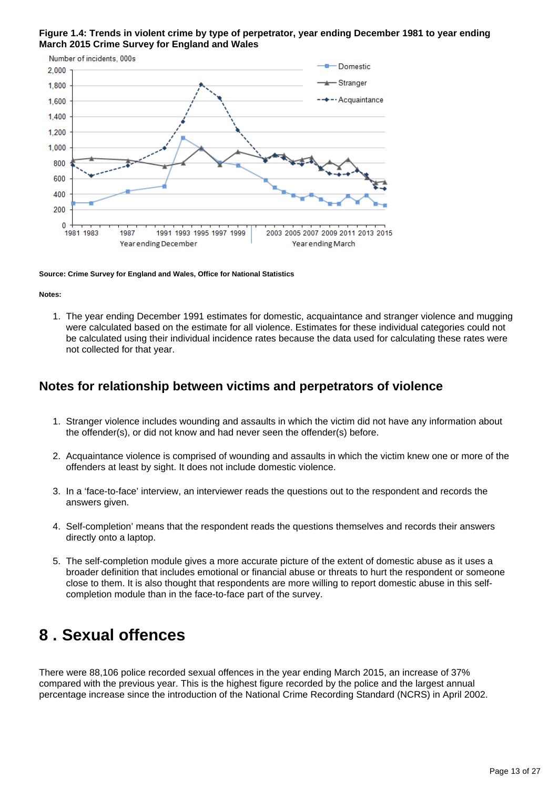



**Source: Crime Survey for England and Wales, Office for National Statistics**

#### **Notes:**

1. The year ending December 1991 estimates for domestic, acquaintance and stranger violence and mugging were calculated based on the estimate for all violence. Estimates for these individual categories could not be calculated using their individual incidence rates because the data used for calculating these rates were not collected for that year.

### **Notes for relationship between victims and perpetrators of violence**

- 1. Stranger violence includes wounding and assaults in which the victim did not have any information about the offender(s), or did not know and had never seen the offender(s) before.
- 2. Acquaintance violence is comprised of wounding and assaults in which the victim knew one or more of the offenders at least by sight. It does not include domestic violence.
- 3. In a 'face-to-face' interview, an interviewer reads the questions out to the respondent and records the answers given.
- 4. Self-completion' means that the respondent reads the questions themselves and records their answers directly onto a laptop.
- 5. The self-completion module gives a more accurate picture of the extent of domestic abuse as it uses a broader definition that includes emotional or financial abuse or threats to hurt the respondent or someone close to them. It is also thought that respondents are more willing to report domestic abuse in this selfcompletion module than in the face-to-face part of the survey.

## <span id="page-12-0"></span>**8 . Sexual offences**

There were 88,106 police recorded sexual offences in the year ending March 2015, an increase of 37% compared with the previous year. This is the highest figure recorded by the police and the largest annual percentage increase since the introduction of the National Crime Recording Standard (NCRS) in April 2002.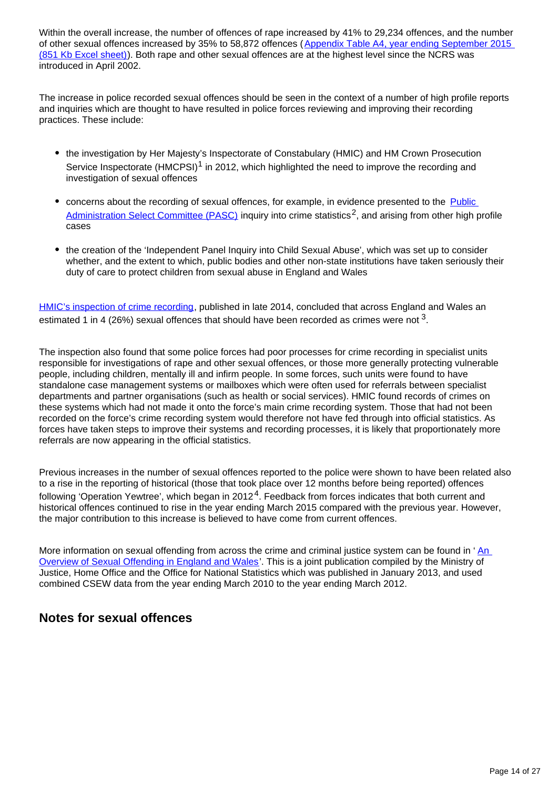Within the overall increase, the number of offences of rape increased by 41% to 29,234 offences, and the number of other sexual offences increased by 35% to 58,872 offences ([Appendix Table A4, year ending September 2015](http://www.ons.gov.uk/peoplepopulationandcommunity/crimeandjustice/datasets/crimeinenglandandwalesappendixtables)  [\(851 Kb Excel sheet\)\)](http://www.ons.gov.uk/peoplepopulationandcommunity/crimeandjustice/datasets/crimeinenglandandwalesappendixtables). Both rape and other sexual offences are at the highest level since the NCRS was introduced in April 2002.

The increase in police recorded sexual offences should be seen in the context of a number of high profile reports and inquiries which are thought to have resulted in police forces reviewing and improving their recording practices. These include:

- the investigation by Her Majesty's Inspectorate of Constabulary (HMIC) and HM Crown Prosecution Service Inspectorate  $(HMCPSI)^1$  in 2012, which highlighted the need to improve the recording and investigation of sexual offences
- concerns about the recording of sexual offences, for example, in evidence presented to the Public [Administration Select Committee \(PASC\)](http://www.publications.parliament.uk/pa/cm201314/cmselect/cmpubadm/760/760.pdf) inquiry into crime statistics<sup>2</sup>, and arising from other high profile cases
- the creation of the 'Independent Panel Inquiry into Child Sexual Abuse', which was set up to consider whether, and the extent to which, public bodies and other non-state institutions have taken seriously their duty of care to protect children from sexual abuse in England and Wales

[HMIC's inspection of crime recording](https://www.justiceinspectorates.gov.uk/hmic/wp-content/uploads/crime-recording-making-the-victim-count.pdf), published in late 2014, concluded that across England and Wales an estimated 1 in 4 (26%) sexual offences that should have been recorded as crimes were not  $^3$ .

The inspection also found that some police forces had poor processes for crime recording in specialist units responsible for investigations of rape and other sexual offences, or those more generally protecting vulnerable people, including children, mentally ill and infirm people. In some forces, such units were found to have standalone case management systems or mailboxes which were often used for referrals between specialist departments and partner organisations (such as health or social services). HMIC found records of crimes on these systems which had not made it onto the force's main crime recording system. Those that had not been recorded on the force's crime recording system would therefore not have fed through into official statistics. As forces have taken steps to improve their systems and recording processes, it is likely that proportionately more referrals are now appearing in the official statistics.

Previous increases in the number of sexual offences reported to the police were shown to have been related also to a rise in the reporting of historical (those that took place over 12 months before being reported) offences following 'Operation Yewtree', which began in 2012<sup>4</sup>. Feedback from forces indicates that both current and historical offences continued to rise in the year ending March 2015 compared with the previous year. However, the major contribution to this increase is believed to have come from current offences.

More information on sexual offending from across the crime and criminal justice system can be found in 'An [Overview of Sexual Offending in England and Wales'](http://www.justice.gov.uk/statistics/criminal-justice/sexual-offending-statistics). This is a joint publication compiled by the Ministry of Justice, Home Office and the Office for National Statistics which was published in January 2013, and used combined CSEW data from the year ending March 2010 to the year ending March 2012.

## **Notes for sexual offences**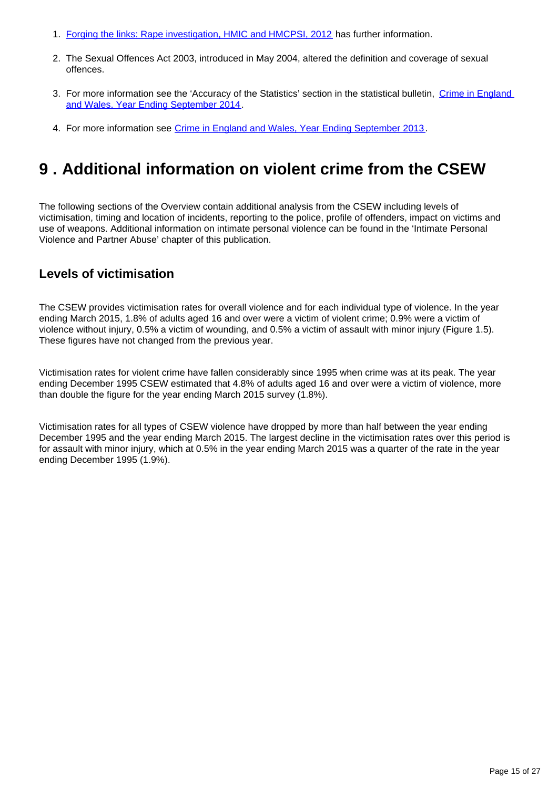- 1. [Forging the links: Rape investigation, HMIC and HMCPSI, 2012](http://www.hmic.gov.uk/publication/forging-the-links-rape-investigation-and-prosecution/) has further information.
- 2. The Sexual Offences Act 2003, introduced in May 2004, altered the definition and coverage of sexual offences.
- 3. For more information see the 'Accuracy of the Statistics' section in the statistical bulletin, Crime in England [and Wales, Year Ending September 2014.](http://www.ons.gov.uk/ons/rel/crime-stats/crime-statistics/year-ending-september-2014/stb-crime-in-england-and-wales--year-ending-september-2014.html)
- 4. For more information see [Crime in England and Wales, Year Ending September 2013.](http://www.ons.gov.uk/ons/rel/crime-stats/crime-statistics/period-ending-september-2013/index.html)

# <span id="page-14-0"></span>**9 . Additional information on violent crime from the CSEW**

The following sections of the Overview contain additional analysis from the CSEW including levels of victimisation, timing and location of incidents, reporting to the police, profile of offenders, impact on victims and use of weapons. Additional information on intimate personal violence can be found in the 'Intimate Personal Violence and Partner Abuse' chapter of this publication.

## **Levels of victimisation**

The CSEW provides victimisation rates for overall violence and for each individual type of violence. In the year ending March 2015, 1.8% of adults aged 16 and over were a victim of violent crime; 0.9% were a victim of violence without injury, 0.5% a victim of wounding, and 0.5% a victim of assault with minor injury (Figure 1.5). These figures have not changed from the previous year.

Victimisation rates for violent crime have fallen considerably since 1995 when crime was at its peak. The year ending December 1995 CSEW estimated that 4.8% of adults aged 16 and over were a victim of violence, more than double the figure for the year ending March 2015 survey (1.8%).

Victimisation rates for all types of CSEW violence have dropped by more than half between the year ending December 1995 and the year ending March 2015. The largest decline in the victimisation rates over this period is for assault with minor injury, which at 0.5% in the year ending March 2015 was a quarter of the rate in the year ending December 1995 (1.9%).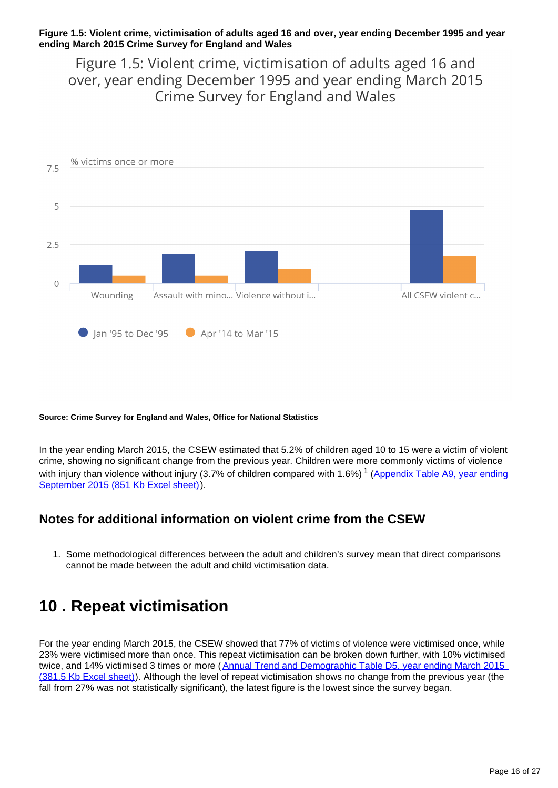#### **Figure 1.5: Violent crime, victimisation of adults aged 16 and over, year ending December 1995 and year ending March 2015 Crime Survey for England and Wales**

Figure 1.5: Violent crime, victimisation of adults aged 16 and over, year ending December 1995 and year ending March 2015 Crime Survey for England and Wales



**Source: Crime Survey for England and Wales, Office for National Statistics**

In the year ending March 2015, the CSEW estimated that 5.2% of children aged 10 to 15 were a victim of violent crime, showing no significant change from the previous year. Children were more commonly victims of violence with injury than violence without injury (3.7% of children compared with 1.6%)<sup>1</sup> (Appendix Table A9, year ending September 2015 (851 Kb Excel sheet).

### **Notes for additional information on violent crime from the CSEW**

1. Some methodological differences between the adult and children's survey mean that direct comparisons cannot be made between the adult and child victimisation data.

## <span id="page-15-0"></span>**10 . Repeat victimisation**

For the year ending March 2015, the CSEW showed that 77% of victims of violence were victimised once, while 23% were victimised more than once. This repeat victimisation can be broken down further, with 10% victimised twice, and 14% victimised 3 times or more (Annual Trend and Demographic Table D5, year ending March 2015 [\(381.5 Kb Excel sheet\)](http://www.ons.gov.uk/ons/rel/crime-stats/crime-statistics/year-ending-march-2015/rft-3.xls)). Although the level of repeat victimisation shows no change from the previous year (the fall from 27% was not statistically significant), the latest figure is the lowest since the survey began.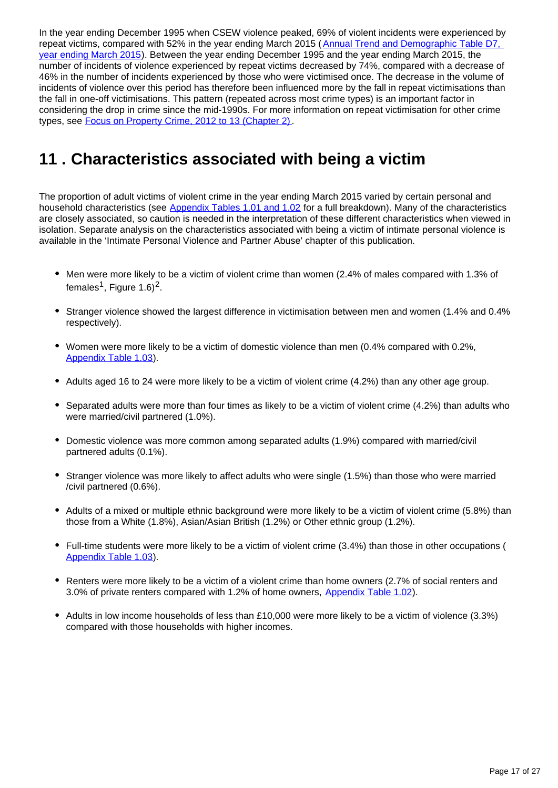In the year ending December 1995 when CSEW violence peaked, 69% of violent incidents were experienced by repeat victims, compared with 52% in the year ending March 2015 (Annual Trend and Demographic Table D7, [year ending March 2015\)](http://www.ons.gov.uk/ons/publications/re-reference-tables.html?edition=tcm%3A77-373428). Between the year ending December 1995 and the year ending March 2015, the number of incidents of violence experienced by repeat victims decreased by 74%, compared with a decrease of 46% in the number of incidents experienced by those who were victimised once. The decrease in the volume of incidents of violence over this period has therefore been influenced more by the fall in repeat victimisations than the fall in one-off victimisations. This pattern (repeated across most crime types) is an important factor in considering the drop in crime since the mid-1990s. For more information on repeat victimisation for other crime types, see [Focus on Property Crime, 2012 to 13 \(Chapter 2\)](http://www.ons.gov.uk/ons/rel/crime-stats/crime-statistics/focus-on-property-crime--2012-13/rpt-chapter-2---repeat-victimisation.html).

# <span id="page-16-0"></span>**11 . Characteristics associated with being a victim**

The proportion of adult victims of violent crime in the year ending March 2015 varied by certain personal and household characteristics (see [Appendix Tables 1.01 and 1.02](https://www.ons.gov.uk/peoplepopulationandcommunity/crimeandjustice/datasets/appendixtablesfocusonviolentcrimeandsexualoffences) for a full breakdown). Many of the characteristics are closely associated, so caution is needed in the interpretation of these different characteristics when viewed in isolation. Separate analysis on the characteristics associated with being a victim of intimate personal violence is available in the 'Intimate Personal Violence and Partner Abuse' chapter of this publication.

- Men were more likely to be a victim of violent crime than women (2.4% of males compared with 1.3% of females<sup>1</sup>, Figure 1.6)<sup>2</sup>.
- Stranger violence showed the largest difference in victimisation between men and women (1.4% and 0.4% respectively).
- Women were more likely to be a victim of domestic violence than men (0.4% compared with 0.2%, [Appendix Table 1.03](https://www.ons.gov.uk/peoplepopulationandcommunity/crimeandjustice/datasets/appendixtablesfocusonviolentcrimeandsexualoffences)).
- Adults aged 16 to 24 were more likely to be a victim of violent crime (4.2%) than any other age group.
- Separated adults were more than four times as likely to be a victim of violent crime (4.2%) than adults who were married/civil partnered (1.0%).
- Domestic violence was more common among separated adults (1.9%) compared with married/civil partnered adults (0.1%).
- Stranger violence was more likely to affect adults who were single (1.5%) than those who were married /civil partnered (0.6%).
- Adults of a mixed or multiple ethnic background were more likely to be a victim of violent crime (5.8%) than those from a White (1.8%), Asian/Asian British (1.2%) or Other ethnic group (1.2%).
- Full-time students were more likely to be a victim of violent crime (3.4%) than those in other occupations ( [Appendix Table 1.03](https://www.ons.gov.uk/peoplepopulationandcommunity/crimeandjustice/datasets/appendixtablesfocusonviolentcrimeandsexualoffences)).
- Renters were more likely to be a victim of a violent crime than home owners (2.7% of social renters and 3.0% of private renters compared with 1.2% of home owners, [Appendix Table 1.02\)](https://www.ons.gov.uk/peoplepopulationandcommunity/crimeandjustice/datasets/appendixtablesfocusonviolentcrimeandsexualoffences).
- Adults in low income households of less than £10,000 were more likely to be a victim of violence (3.3%) compared with those households with higher incomes.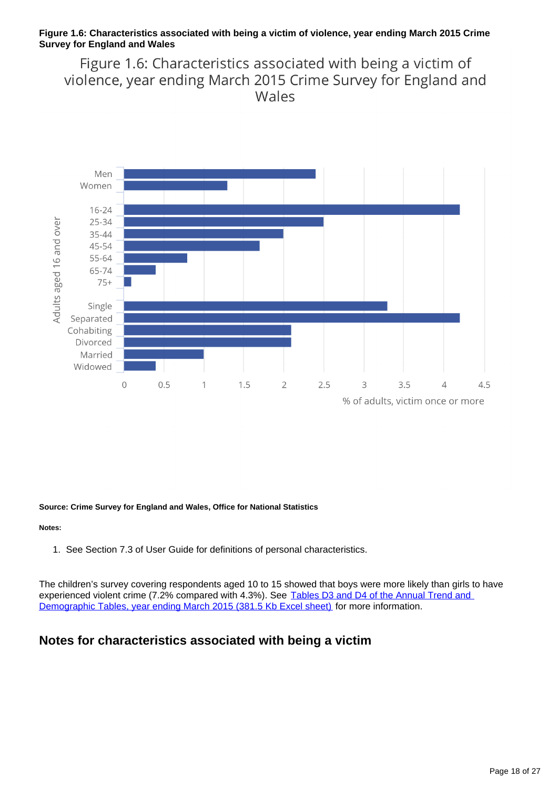### **Figure 1.6: Characteristics associated with being a victim of violence, year ending March 2015 Crime Survey for England and Wales**

Figure 1.6: Characteristics associated with being a victim of violence, year ending March 2015 Crime Survey for England and Wales



**Source: Crime Survey for England and Wales, Office for National Statistics**

### **Notes:**

1. See Section 7.3 of User Guide for definitions of personal characteristics.

The children's survey covering respondents aged 10 to 15 showed that boys were more likely than girls to have experienced violent crime (7.2% compared with 4.3%). See Tables D3 and D4 of the Annual Trend and [Demographic Tables, year ending March 2015 \(381.5 Kb Excel sheet\)](http://www.ons.gov.uk/ons/rel/crime-stats/crime-statistics/year-ending-march-2015/rft-3.xls) for more information.

## **Notes for characteristics associated with being a victim**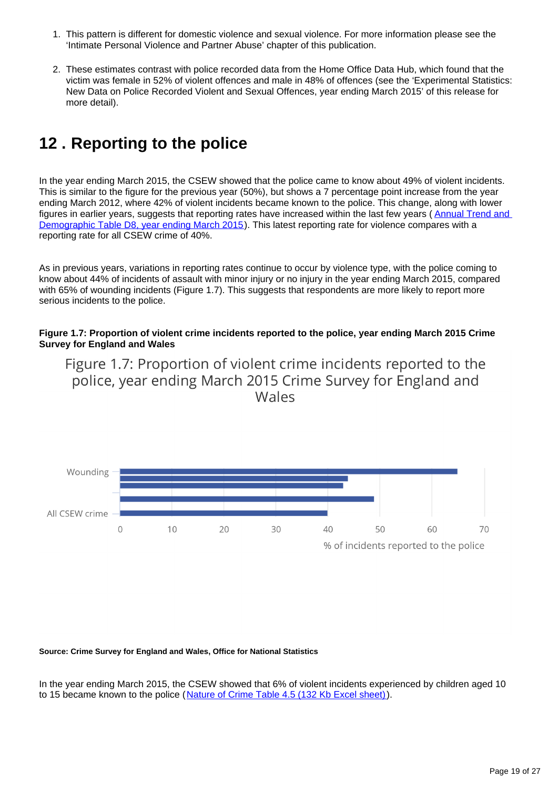- 1. This pattern is different for domestic violence and sexual violence. For more information please see the 'Intimate Personal Violence and Partner Abuse' chapter of this publication.
- 2. These estimates contrast with police recorded data from the Home Office Data Hub, which found that the victim was female in 52% of violent offences and male in 48% of offences (see the 'Experimental Statistics: New Data on Police Recorded Violent and Sexual Offences, year ending March 2015' of this release for more detail).

# <span id="page-18-0"></span>**12 . Reporting to the police**

In the year ending March 2015, the CSEW showed that the police came to know about 49% of violent incidents. This is similar to the figure for the previous year (50%), but shows a 7 percentage point increase from the year ending March 2012, where 42% of violent incidents became known to the police. This change, along with lower figures in earlier years, suggests that reporting rates have increased within the last few years (Annual Trend and [Demographic Table D8, year ending March 2015\)](http://www.ons.gov.uk/ons/publications/re-reference-tables.html?edition=tcm%3A77-373428). This latest reporting rate for violence compares with a reporting rate for all CSEW crime of 40%.

As in previous years, variations in reporting rates continue to occur by violence type, with the police coming to know about 44% of incidents of assault with minor injury or no injury in the year ending March 2015, compared with 65% of wounding incidents (Figure 1.7). This suggests that respondents are more likely to report more serious incidents to the police.

### **Figure 1.7: Proportion of violent crime incidents reported to the police, year ending March 2015 Crime Survey for England and Wales**

Figure 1.7: Proportion of violent crime incidents reported to the police, year ending March 2015 Crime Survey for England and Wales



#### **Source: Crime Survey for England and Wales, Office for National Statistics**

In the year ending March 2015, the CSEW showed that 6% of violent incidents experienced by children aged 10 to 15 became known to the police ([Nature of Crime Table 4.5 \(132 Kb Excel sheet\)\)](http://www.ons.gov.uk/file?uri=/peoplepopulationandcommunity/crimeandjustice/compendium/focusonviolentcrimeandsexualoffences/yearendingmarch2015/bulletintablesfocusonviolentcrimeandsexualoffencesyearendingmarch2015/04natureofcrimetablesyearendingmarch2015childrenaged1015violencetcm77432698.xls).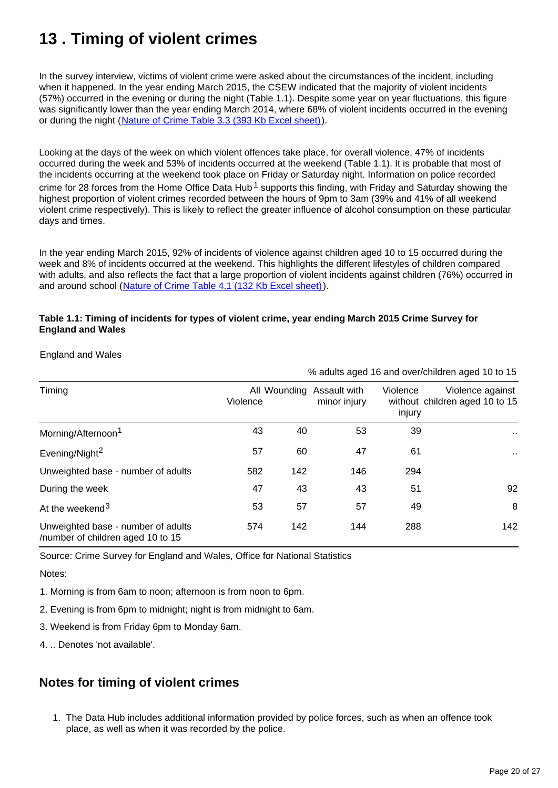# <span id="page-19-0"></span>**13 . Timing of violent crimes**

In the survey interview, victims of violent crime were asked about the circumstances of the incident, including when it happened. In the year ending March 2015, the CSEW indicated that the majority of violent incidents (57%) occurred in the evening or during the night (Table 1.1). Despite some year on year fluctuations, this figure was significantly lower than the year ending March 2014, where 68% of violent incidents occurred in the evening or during the night ([Nature of Crime Table 3.3 \(393 Kb Excel sheet\)](http://www.ons.gov.uk/file?uri=/peoplepopulationandcommunity/crimeandjustice/compendium/focusonviolentcrimeandsexualoffences/yearendingmarch2015/bulletintablesfocusonviolentcrimeandsexualoffencesyearendingmarch2015/03natureofcrimetablesyearendingmarch2015violencetcm774326921.xls)).

Looking at the days of the week on which violent offences take place, for overall violence, 47% of incidents occurred during the week and 53% of incidents occurred at the weekend (Table 1.1). It is probable that most of the incidents occurring at the weekend took place on Friday or Saturday night. Information on police recorded crime for 28 forces from the Home Office Data Hub<sup>1</sup> supports this finding, with Friday and Saturday showing the highest proportion of violent crimes recorded between the hours of 9pm to 3am (39% and 41% of all weekend violent crime respectively). This is likely to reflect the greater influence of alcohol consumption on these particular days and times.

In the year ending March 2015, 92% of incidents of violence against children aged 10 to 15 occurred during the week and 8% of incidents occurred at the weekend. This highlights the different lifestyles of children compared with adults, and also reflects the fact that a large proportion of violent incidents against children (76%) occurred in and around school ([Nature of Crime Table 4.1 \(132 Kb Excel sheet\)\)](http://www.ons.gov.uk/file?uri=/peoplepopulationandcommunity/crimeandjustice/compendium/focusonviolentcrimeandsexualoffences/yearendingmarch2015/bulletintablesfocusonviolentcrimeandsexualoffencesyearendingmarch2015/04natureofcrimetablesyearendingmarch2015childrenaged1015violencetcm77432698.xls).

### **Table 1.1: Timing of incidents for types of violent crime, year ending March 2015 Crime Survey for England and Wales**

England and Wales

| Timing                                                                  | Violence |     | All Wounding Assault with<br>minor injury | Violence<br>injury | Violence against<br>without children aged 10 to 15 |
|-------------------------------------------------------------------------|----------|-----|-------------------------------------------|--------------------|----------------------------------------------------|
| Morning/Afternoon <sup>1</sup>                                          | 43       | 40  | 53                                        | 39                 | $\sim$                                             |
| Evening/Night <sup>2</sup>                                              | 57       | 60  | 47                                        | 61                 | $\sim$                                             |
| Unweighted base - number of adults                                      | 582      | 142 | 146                                       | 294                |                                                    |
| During the week                                                         | 47       | 43  | 43                                        | 51                 | 92                                                 |
| At the weekend <sup>3</sup>                                             | 53       | 57  | 57                                        | 49                 | 8                                                  |
| Unweighted base - number of adults<br>/number of children aged 10 to 15 | 574      | 142 | 144                                       | 288                | 142                                                |

% adults aged 16 and over/children aged 10 to 15

Source: Crime Survey for England and Wales, Office for National Statistics

Notes:

1. Morning is from 6am to noon; afternoon is from noon to 6pm.

2. Evening is from 6pm to midnight; night is from midnight to 6am.

3. Weekend is from Friday 6pm to Monday 6am.

4. .. Denotes 'not available'.

## **Notes for timing of violent crimes**

1. The Data Hub includes additional information provided by police forces, such as when an offence took place, as well as when it was recorded by the police.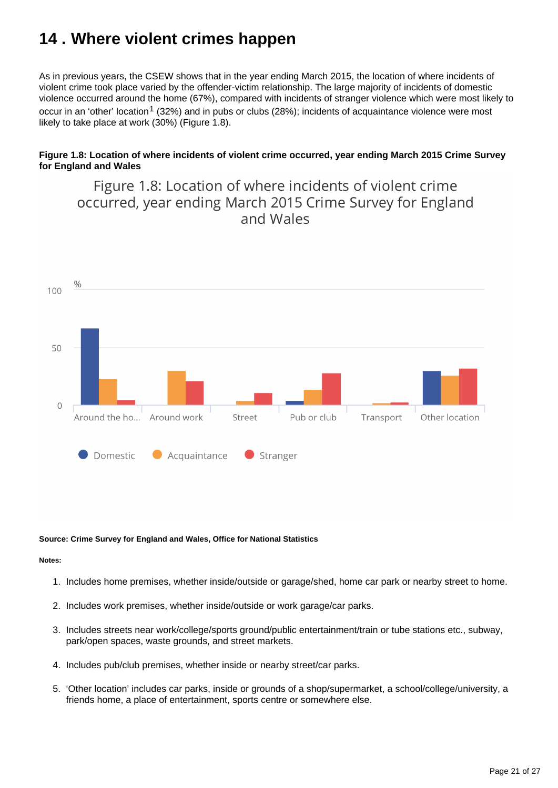# <span id="page-20-0"></span>**14 . Where violent crimes happen**

As in previous years, the CSEW shows that in the year ending March 2015, the location of where incidents of violent crime took place varied by the offender-victim relationship. The large majority of incidents of domestic violence occurred around the home (67%), compared with incidents of stranger violence which were most likely to occur in an 'other' location<sup>1</sup> (32%) and in pubs or clubs (28%); incidents of acquaintance violence were most likely to take place at work (30%) (Figure 1.8).

### **Figure 1.8: Location of where incidents of violent crime occurred, year ending March 2015 Crime Survey for England and Wales**

Figure 1.8: Location of where incidents of violent crime occurred, year ending March 2015 Crime Survey for England and Wales



#### **Source: Crime Survey for England and Wales, Office for National Statistics**

#### **Notes:**

- 1. Includes home premises, whether inside/outside or garage/shed, home car park or nearby street to home.
- 2. Includes work premises, whether inside/outside or work garage/car parks.
- 3. Includes streets near work/college/sports ground/public entertainment/train or tube stations etc., subway, park/open spaces, waste grounds, and street markets.
- 4. Includes pub/club premises, whether inside or nearby street/car parks.
- 5. 'Other location' includes car parks, inside or grounds of a shop/supermarket, a school/college/university, a friends home, a place of entertainment, sports centre or somewhere else.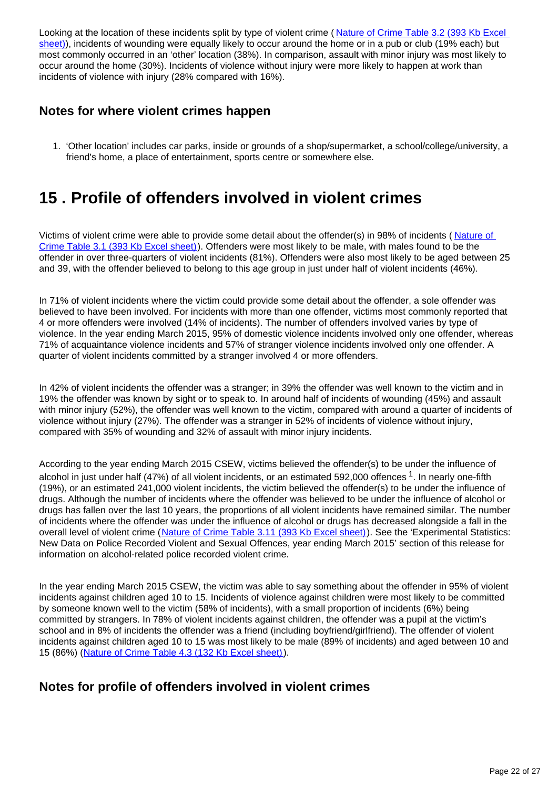Looking at the location of these incidents split by type of violent crime (Nature of Crime Table 3.2 (393 Kb Excel [sheet\)\)](http://www.ons.gov.uk/file?uri=/peoplepopulationandcommunity/crimeandjustice/compendium/focusonviolentcrimeandsexualoffences/yearendingmarch2015/bulletintablesfocusonviolentcrimeandsexualoffencesyearendingmarch2015/03natureofcrimetablesyearendingmarch2015violencetcm774326921.xls), incidents of wounding were equally likely to occur around the home or in a pub or club (19% each) but most commonly occurred in an 'other' location (38%). In comparison, assault with minor injury was most likely to occur around the home (30%). Incidents of violence without injury were more likely to happen at work than incidents of violence with injury (28% compared with 16%).

## **Notes for where violent crimes happen**

1. 'Other location' includes car parks, inside or grounds of a shop/supermarket, a school/college/university, a friend's home, a place of entertainment, sports centre or somewhere else.

## <span id="page-21-0"></span>**15 . Profile of offenders involved in violent crimes**

Victims of violent crime were able to provide some detail about the offender(s) in 98% of incidents (Nature of [Crime Table 3.1 \(393 Kb Excel sheet\)\)](http://www.ons.gov.uk/file?uri=/peoplepopulationandcommunity/crimeandjustice/compendium/focusonviolentcrimeandsexualoffences/yearendingmarch2015/bulletintablesfocusonviolentcrimeandsexualoffencesyearendingmarch2015/03natureofcrimetablesyearendingmarch2015violencetcm774326921.xls). Offenders were most likely to be male, with males found to be the offender in over three-quarters of violent incidents (81%). Offenders were also most likely to be aged between 25 and 39, with the offender believed to belong to this age group in just under half of violent incidents (46%).

In 71% of violent incidents where the victim could provide some detail about the offender, a sole offender was believed to have been involved. For incidents with more than one offender, victims most commonly reported that 4 or more offenders were involved (14% of incidents). The number of offenders involved varies by type of violence. In the year ending March 2015, 95% of domestic violence incidents involved only one offender, whereas 71% of acquaintance violence incidents and 57% of stranger violence incidents involved only one offender. A quarter of violent incidents committed by a stranger involved 4 or more offenders.

In 42% of violent incidents the offender was a stranger; in 39% the offender was well known to the victim and in 19% the offender was known by sight or to speak to. In around half of incidents of wounding (45%) and assault with minor injury (52%), the offender was well known to the victim, compared with around a quarter of incidents of violence without injury (27%). The offender was a stranger in 52% of incidents of violence without injury, compared with 35% of wounding and 32% of assault with minor injury incidents.

According to the year ending March 2015 CSEW, victims believed the offender(s) to be under the influence of alcohol in just under half (47%) of all violent incidents, or an estimated 592,000 offences  $1$ . In nearly one-fifth (19%), or an estimated 241,000 violent incidents, the victim believed the offender(s) to be under the influence of drugs. Although the number of incidents where the offender was believed to be under the influence of alcohol or drugs has fallen over the last 10 years, the proportions of all violent incidents have remained similar. The number of incidents where the offender was under the influence of alcohol or drugs has decreased alongside a fall in the overall level of violent crime ([Nature of Crime Table 3.11 \(393 Kb Excel sheet\)](http://www.ons.gov.uk/file?uri=/peoplepopulationandcommunity/crimeandjustice/compendium/focusonviolentcrimeandsexualoffences/yearendingmarch2015/bulletintablesfocusonviolentcrimeandsexualoffencesyearendingmarch2015/03natureofcrimetablesyearendingmarch2015violencetcm774326921.xls)). See the 'Experimental Statistics: New Data on Police Recorded Violent and Sexual Offences, year ending March 2015' section of this release for information on alcohol-related police recorded violent crime.

In the year ending March 2015 CSEW, the victim was able to say something about the offender in 95% of violent incidents against children aged 10 to 15. Incidents of violence against children were most likely to be committed by someone known well to the victim (58% of incidents), with a small proportion of incidents (6%) being committed by strangers. In 78% of violent incidents against children, the offender was a pupil at the victim's school and in 8% of incidents the offender was a friend (including boyfriend/girlfriend). The offender of violent incidents against children aged 10 to 15 was most likely to be male (89% of incidents) and aged between 10 and 15 (86%) ([Nature of Crime Table 4.3 \(132 Kb Excel sheet\)](http://www.ons.gov.uk/file?uri=/peoplepopulationandcommunity/crimeandjustice/compendium/focusonviolentcrimeandsexualoffences/yearendingmarch2015/bulletintablesfocusonviolentcrimeandsexualoffencesyearendingmarch2015/04natureofcrimetablesyearendingmarch2015childrenaged1015violencetcm77432698.xls)).

### **Notes for profile of offenders involved in violent crimes**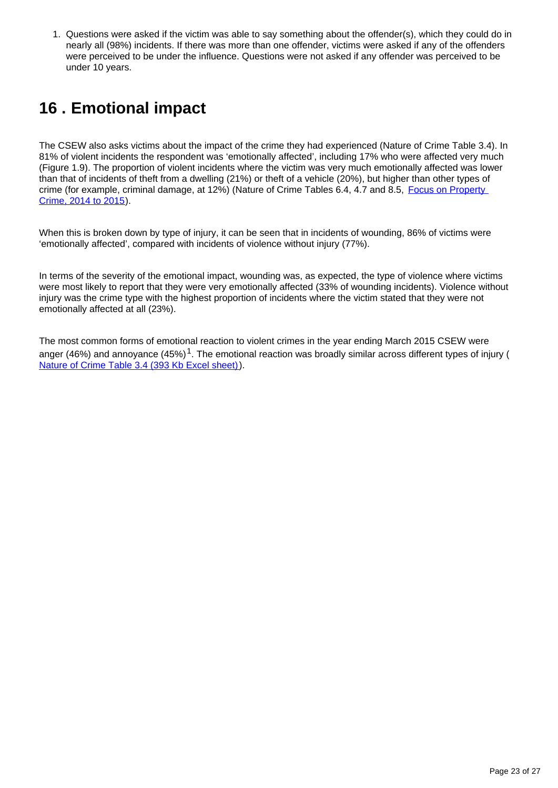1. Questions were asked if the victim was able to say something about the offender(s), which they could do in nearly all (98%) incidents. If there was more than one offender, victims were asked if any of the offenders were perceived to be under the influence. Questions were not asked if any offender was perceived to be under 10 years.

# <span id="page-22-0"></span>**16 . Emotional impact**

The CSEW also asks victims about the impact of the crime they had experienced (Nature of Crime Table 3.4). In 81% of violent incidents the respondent was 'emotionally affected', including 17% who were affected very much (Figure 1.9). The proportion of violent incidents where the victim was very much emotionally affected was lower than that of incidents of theft from a dwelling (21%) or theft of a vehicle (20%), but higher than other types of crime (for example, criminal damage, at 12%) (Nature of Crime Tables 6.4, 4.7 and 8.5, Focus on Property [Crime, 2014 to 2015\)](http://www.ons.gov.uk/peoplepopulationandcommunity/crimeandjustice/bulletins/focusonpropertycrime/2014to2015).

When this is broken down by type of injury, it can be seen that in incidents of wounding, 86% of victims were 'emotionally affected', compared with incidents of violence without injury (77%).

In terms of the severity of the emotional impact, wounding was, as expected, the type of violence where victims were most likely to report that they were very emotionally affected (33% of wounding incidents). Violence without injury was the crime type with the highest proportion of incidents where the victim stated that they were not emotionally affected at all (23%).

The most common forms of emotional reaction to violent crimes in the year ending March 2015 CSEW were anger (46%) and annoyance (45%)<sup>1</sup>. The emotional reaction was broadly similar across different types of injury ( [Nature of Crime Table 3.4 \(393 Kb Excel sheet\)](http://www.ons.gov.uk/file?uri=/peoplepopulationandcommunity/crimeandjustice/compendium/focusonviolentcrimeandsexualoffences/yearendingmarch2015/bulletintablesfocusonviolentcrimeandsexualoffencesyearendingmarch2015/03natureofcrimetablesyearendingmarch2015violencetcm774326921.xls)).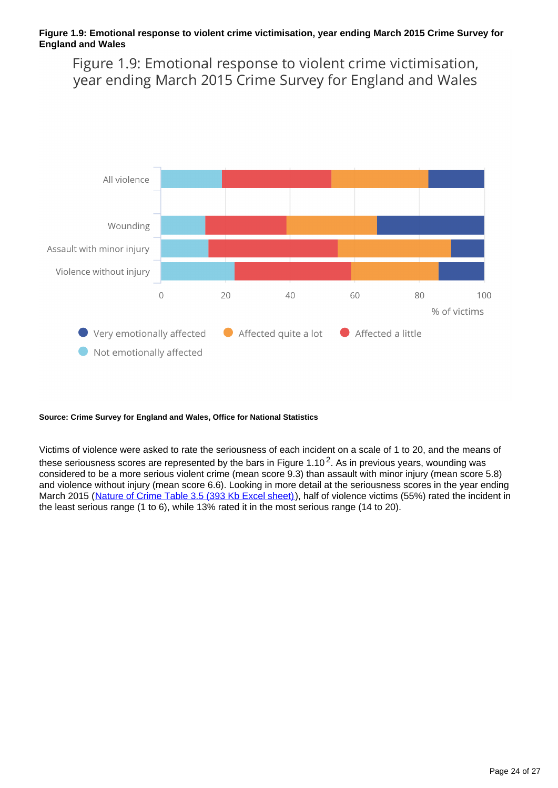### **Figure 1.9: Emotional response to violent crime victimisation, year ending March 2015 Crime Survey for England and Wales**

Figure 1.9: Emotional response to violent crime victimisation, year ending March 2015 Crime Survey for England and Wales



#### **Source: Crime Survey for England and Wales, Office for National Statistics**

Victims of violence were asked to rate the seriousness of each incident on a scale of 1 to 20, and the means of these seriousness scores are represented by the bars in Figure 1.10<sup>2</sup>. As in previous years, wounding was considered to be a more serious violent crime (mean score 9.3) than assault with minor injury (mean score 5.8) and violence without injury (mean score 6.6). Looking in more detail at the seriousness scores in the year ending March 2015 ([Nature of Crime Table 3.5 \(393 Kb Excel sheet\)\)](http://www.ons.gov.uk/file?uri=/peoplepopulationandcommunity/crimeandjustice/compendium/focusonviolentcrimeandsexualoffences/yearendingmarch2015/bulletintablesfocusonviolentcrimeandsexualoffencesyearendingmarch2015/03natureofcrimetablesyearendingmarch2015violencetcm774326921.xls), half of violence victims (55%) rated the incident in the least serious range (1 to 6), while 13% rated it in the most serious range (14 to 20).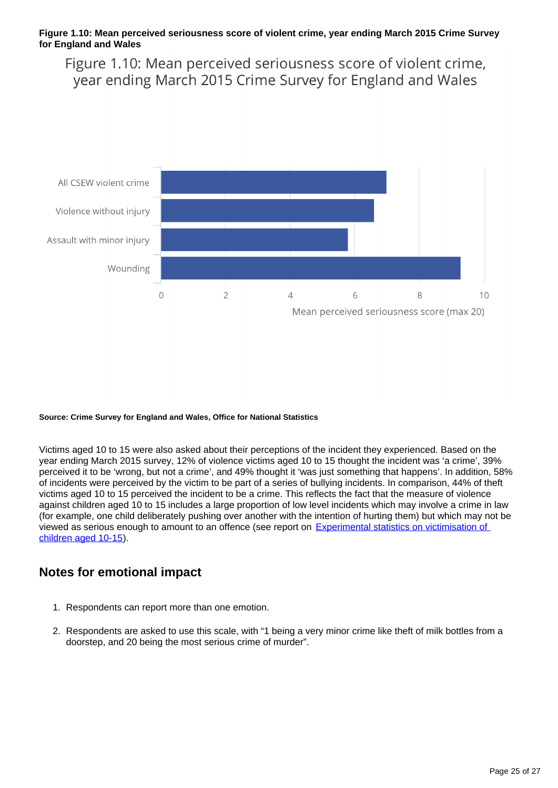### **Figure 1.10: Mean perceived seriousness score of violent crime, year ending March 2015 Crime Survey for England and Wales**

Figure 1.10: Mean perceived seriousness score of violent crime, year ending March 2015 Crime Survey for England and Wales



#### **Source: Crime Survey for England and Wales, Office for National Statistics**

Victims aged 10 to 15 were also asked about their perceptions of the incident they experienced. Based on the year ending March 2015 survey, 12% of violence victims aged 10 to 15 thought the incident was 'a crime', 39% perceived it to be 'wrong, but not a crime', and 49% thought it 'was just something that happens'. In addition, 58% of incidents were perceived by the victim to be part of a series of bullying incidents. In comparison, 44% of theft victims aged 10 to 15 perceived the incident to be a crime. This reflects the fact that the measure of violence against children aged 10 to 15 includes a large proportion of low level incidents which may involve a crime in law (for example, one child deliberately pushing over another with the intention of hurting them) but which may not be viewed as serious enough to amount to an offence (see report on [Experimental statistics on victimisation of](https://www.gov.uk/government/statistics/experimental-statistics-on-victimisation-of-children-aged-10-to-15-british-crime-survey-year-ending-december-2009)  [children aged 10-15](https://www.gov.uk/government/statistics/experimental-statistics-on-victimisation-of-children-aged-10-to-15-british-crime-survey-year-ending-december-2009)).

### **Notes for emotional impact**

- 1. Respondents can report more than one emotion.
- 2. Respondents are asked to use this scale, with "1 being a very minor crime like theft of milk bottles from a doorstep, and 20 being the most serious crime of murder".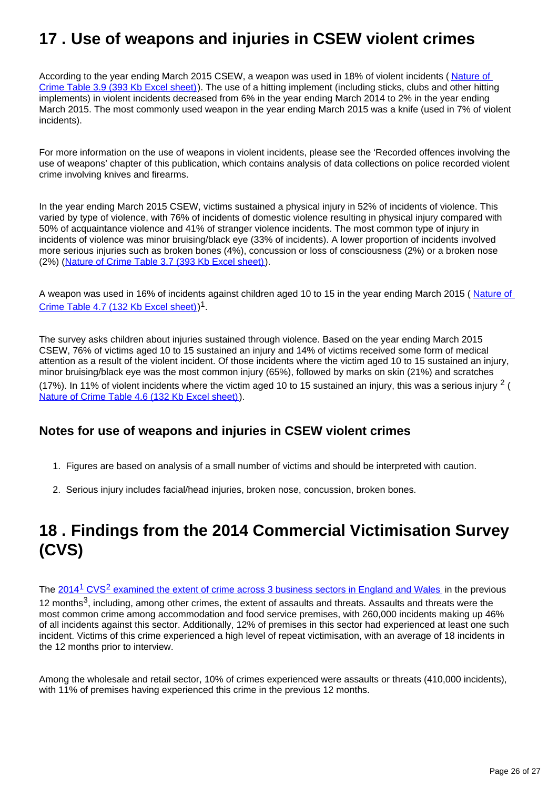# <span id="page-25-0"></span>**17 . Use of weapons and injuries in CSEW violent crimes**

According to the year ending March 2015 CSEW, a weapon was used in 18% of violent incidents (Nature of [Crime Table 3.9 \(393 Kb Excel sheet\)\)](http://www.ons.gov.uk/file?uri=/peoplepopulationandcommunity/crimeandjustice/compendium/focusonviolentcrimeandsexualoffences/yearendingmarch2015/bulletintablesfocusonviolentcrimeandsexualoffencesyearendingmarch2015/03natureofcrimetablesyearendingmarch2015violencetcm774326921.xls). The use of a hitting implement (including sticks, clubs and other hitting implements) in violent incidents decreased from 6% in the year ending March 2014 to 2% in the year ending March 2015. The most commonly used weapon in the year ending March 2015 was a knife (used in 7% of violent incidents).

For more information on the use of weapons in violent incidents, please see the 'Recorded offences involving the use of weapons' chapter of this publication, which contains analysis of data collections on police recorded violent crime involving knives and firearms.

In the year ending March 2015 CSEW, victims sustained a physical injury in 52% of incidents of violence. This varied by type of violence, with 76% of incidents of domestic violence resulting in physical injury compared with 50% of acquaintance violence and 41% of stranger violence incidents. The most common type of injury in incidents of violence was minor bruising/black eye (33% of incidents). A lower proportion of incidents involved more serious injuries such as broken bones (4%), concussion or loss of consciousness (2%) or a broken nose (2%) [\(Nature of Crime Table 3.7 \(393 Kb Excel sheet\)\)](http://www.ons.gov.uk/file?uri=/peoplepopulationandcommunity/crimeandjustice/compendium/focusonviolentcrimeandsexualoffences/yearendingmarch2015/bulletintablesfocusonviolentcrimeandsexualoffencesyearendingmarch2015/03natureofcrimetablesyearendingmarch2015violencetcm774326921.xls).

A weapon was used in 16% of incidents against children aged 10 to 15 in the year ending March 2015 (Nature of [Crime Table 4.7 \(132 Kb Excel sheet\)\)](http://www.ons.gov.uk/file?uri=/peoplepopulationandcommunity/crimeandjustice/compendium/focusonviolentcrimeandsexualoffences/yearendingmarch2015/bulletintablesfocusonviolentcrimeandsexualoffencesyearendingmarch2015/04natureofcrimetablesyearendingmarch2015childrenaged1015violencetcm77432698.xls)<sup>1</sup>.

The survey asks children about injuries sustained through violence. Based on the year ending March 2015 CSEW, 76% of victims aged 10 to 15 sustained an injury and 14% of victims received some form of medical attention as a result of the violent incident. Of those incidents where the victim aged 10 to 15 sustained an injury, minor bruising/black eye was the most common injury (65%), followed by marks on skin (21%) and scratches (17%). In 11% of violent incidents where the victim aged 10 to 15 sustained an injury, this was a serious injury  $2$  ( [Nature of Crime Table 4.6 \(132 Kb Excel sheet\)](http://www.ons.gov.uk/file?uri=/peoplepopulationandcommunity/crimeandjustice/compendium/focusonviolentcrimeandsexualoffences/yearendingmarch2015/bulletintablesfocusonviolentcrimeandsexualoffencesyearendingmarch2015/04natureofcrimetablesyearendingmarch2015childrenaged1015violencetcm77432698.xls)).

## **Notes for use of weapons and injuries in CSEW violent crimes**

- 1. Figures are based on analysis of a small number of victims and should be interpreted with caution.
- 2. Serious injury includes facial/head injuries, broken nose, concussion, broken bones.

## <span id="page-25-1"></span>**18 . Findings from the 2014 Commercial Victimisation Survey (CVS)**

The 2014<sup>1</sup> CVS<sup>2</sup> examined the extent of crime across 3 business sectors in England and Wales in the previous 12 months<sup>3</sup>, including, among other crimes, the extent of assaults and threats. Assaults and threats were the most common crime among accommodation and food service premises, with 260,000 incidents making up 46% of all incidents against this sector. Additionally, 12% of premises in this sector had experienced at least one such incident. Victims of this crime experienced a high level of repeat victimisation, with an average of 18 incidents in the 12 months prior to interview.

Among the wholesale and retail sector, 10% of crimes experienced were assaults or threats (410,000 incidents), with 11% of premises having experienced this crime in the previous 12 months.